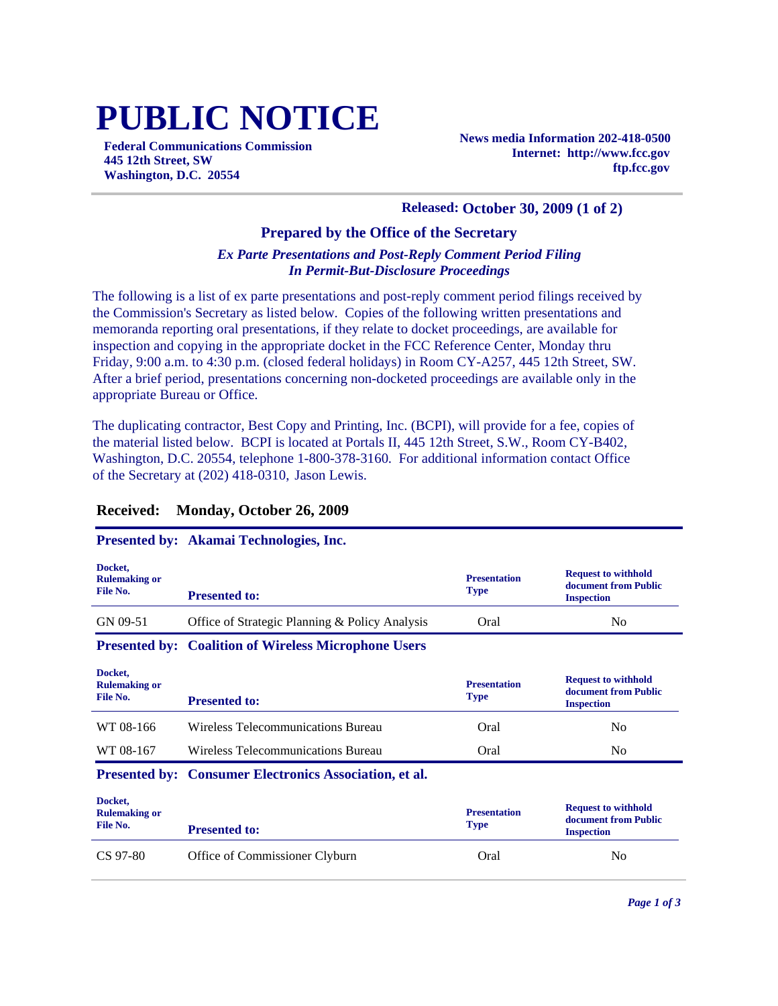# **PUBLIC NOTICE**

**Federal Communications Commission 445 12th Street, SW Washington, D.C. 20554**

**News media Information 202-418-0500 Internet: http://www.fcc.gov ftp.fcc.gov**

#### **Released: October 30, 2009 (1 of 2)**

#### **Prepared by the Office of the Secretary**

#### *Ex Parte Presentations and Post-Reply Comment Period Filing In Permit-But-Disclosure Proceedings*

The following is a list of ex parte presentations and post-reply comment period filings received by the Commission's Secretary as listed below. Copies of the following written presentations and memoranda reporting oral presentations, if they relate to docket proceedings, are available for inspection and copying in the appropriate docket in the FCC Reference Center, Monday thru Friday, 9:00 a.m. to 4:30 p.m. (closed federal holidays) in Room CY-A257, 445 12th Street, SW. After a brief period, presentations concerning non-docketed proceedings are available only in the appropriate Bureau or Office.

The duplicating contractor, Best Copy and Printing, Inc. (BCPI), will provide for a fee, copies of the material listed below. BCPI is located at Portals II, 445 12th Street, S.W., Room CY-B402, Washington, D.C. 20554, telephone 1-800-378-3160. For additional information contact Office of the Secretary at (202) 418-0310, Jason Lewis.

#### **Docket, Rulemaking or File No. Presentation Type Request to withhold document from Public Presented to: Inspection Inspection Inspection** GN 09-51 Office of Strategic Planning & Policy Analysis Oral No **Presented by: Coalition of Wireless Microphone Users Docket, Rulemaking or File No. Presentation Type Request to withhold document from Public Presented to: If the second is a second inspection** WT 08-166 Wireless Telecommunications Bureau Cral Oral No WT 08-167 Wireless Telecommunications Bureau Cral Oral No **Presented by: Consumer Electronics Association, et al. Docket, Rulemaking or File No. Presentation Type Request to withhold document from Public Presented to: If the second is a second inspection** CS 97-80 Office of Commissioner Clyburn Constant Constant Constant Oral No No

### **Received: Monday, October 26, 2009**

#### **Presented by: Akamai Technologies, Inc.**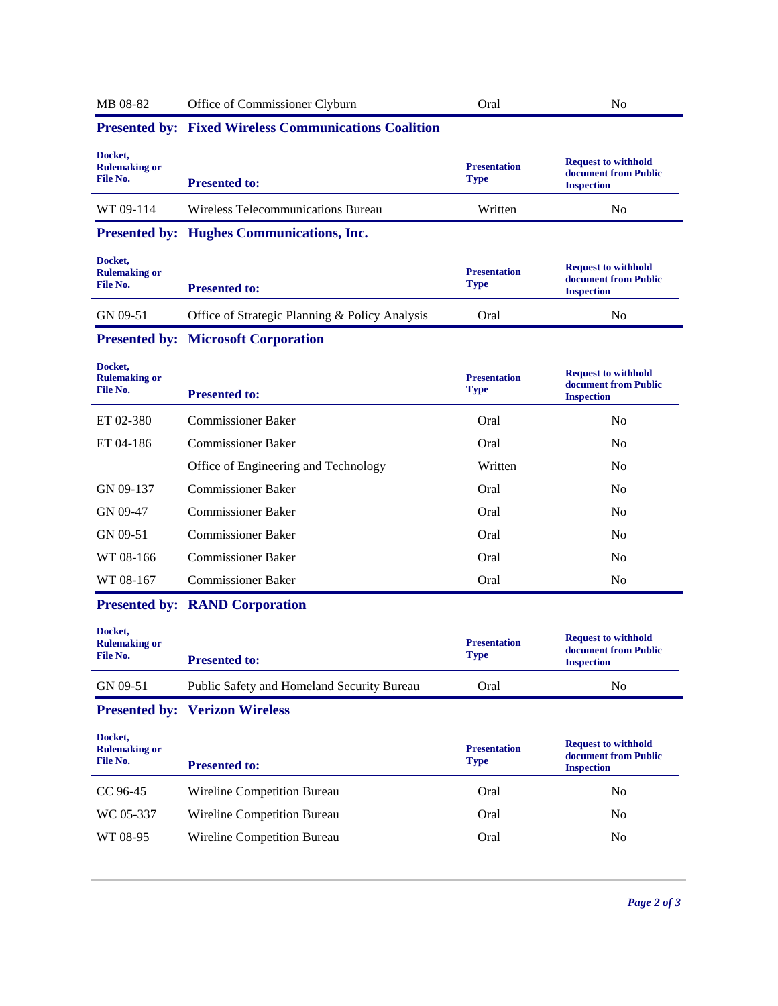| MB 08-82                                    | Office of Commissioner Clyburn                               | Oral                               | N <sub>0</sub>                                                          |
|---------------------------------------------|--------------------------------------------------------------|------------------------------------|-------------------------------------------------------------------------|
|                                             | <b>Presented by: Fixed Wireless Communications Coalition</b> |                                    |                                                                         |
| Docket,<br><b>Rulemaking or</b><br>File No. | <b>Presented to:</b>                                         | <b>Presentation</b><br><b>Type</b> | <b>Request to withhold</b><br>document from Public<br><b>Inspection</b> |
| WT 09-114                                   | Wireless Telecommunications Bureau                           | Written                            | N <sub>0</sub>                                                          |
|                                             | <b>Presented by: Hughes Communications, Inc.</b>             |                                    |                                                                         |
| Docket,<br><b>Rulemaking or</b><br>File No. | <b>Presented to:</b>                                         | <b>Presentation</b><br><b>Type</b> | <b>Request to withhold</b><br>document from Public<br><b>Inspection</b> |
| GN 09-51                                    | Office of Strategic Planning & Policy Analysis               | Oral                               | N <sub>0</sub>                                                          |
|                                             | <b>Presented by: Microsoft Corporation</b>                   |                                    |                                                                         |
| Docket,<br><b>Rulemaking or</b><br>File No. | <b>Presented to:</b>                                         | <b>Presentation</b><br><b>Type</b> | <b>Request to withhold</b><br>document from Public<br><b>Inspection</b> |
| ET 02-380                                   | <b>Commissioner Baker</b>                                    | Oral                               | No                                                                      |
| ET 04-186                                   | <b>Commissioner Baker</b>                                    | Oral                               | N <sub>0</sub>                                                          |
|                                             | Office of Engineering and Technology                         | Written                            | N <sub>0</sub>                                                          |
| GN 09-137                                   | <b>Commissioner Baker</b>                                    | Oral                               | No                                                                      |
| GN 09-47                                    | <b>Commissioner Baker</b>                                    | Oral                               | N <sub>0</sub>                                                          |
| GN 09-51                                    | <b>Commissioner Baker</b>                                    | Oral                               | N <sub>0</sub>                                                          |
| WT 08-166                                   | <b>Commissioner Baker</b>                                    | Oral                               | N <sub>0</sub>                                                          |
|                                             |                                                              |                                    |                                                                         |
| WT 08-167                                   | <b>Commissioner Baker</b>                                    | Oral                               | No                                                                      |
|                                             | <b>Presented by: RAND Corporation</b>                        |                                    |                                                                         |

| DOCKEL,<br><b>Rulemaking or</b><br>File No. | <b>Presented to:</b>                       | <b>Presentation</b><br><b>Type</b> | <b>Request to withhold</b><br>document from Public<br><b>Inspection</b> |
|---------------------------------------------|--------------------------------------------|------------------------------------|-------------------------------------------------------------------------|
| GN 09-51                                    | Public Safety and Homeland Security Bureau | Oral                               | N <sub>0</sub>                                                          |

## **Presented by: Verizon Wireless**

| Docket,<br><b>Rulemaking or</b><br>File No. | <b>Presented to:</b>        | <b>Presentation</b><br><b>Type</b> | <b>Request to withhold</b><br>document from Public<br><b>Inspection</b> |
|---------------------------------------------|-----------------------------|------------------------------------|-------------------------------------------------------------------------|
| CC 96-45                                    | Wireline Competition Bureau | Oral                               | No                                                                      |
| WC 05-337                                   | Wireline Competition Bureau | Oral                               | No                                                                      |
| WT 08-95                                    | Wireline Competition Bureau | Oral                               | No                                                                      |